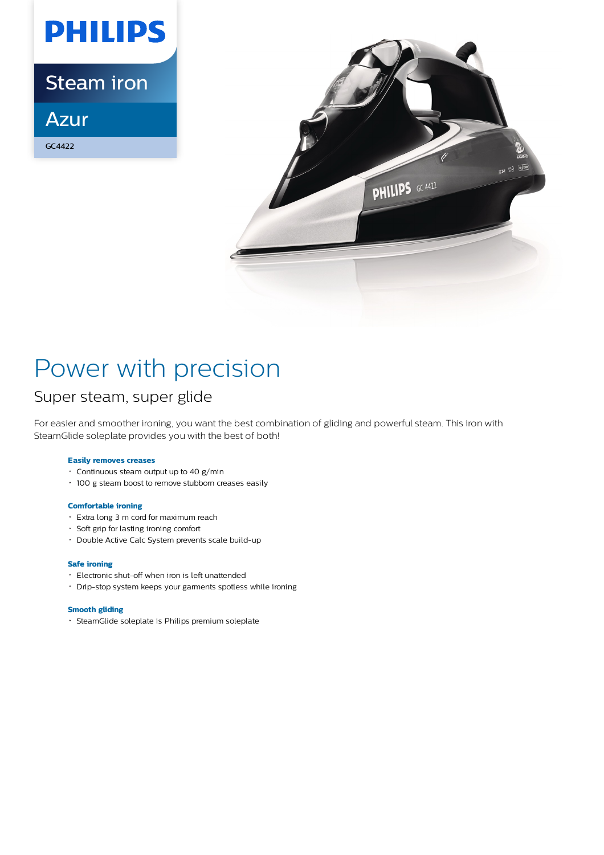

Steam iron

Azur

GC4422



# Power with precision

## Super steam, super glide

For easier and smoother ironing, you want the best combination of gliding and powerful steam. This iron with SteamGlide soleplate provides you with the best of both!

### **Easily removes creases**

- Continuous steam output up to 40 g/min
- 100 g steam boost to remove stubborn creases easily

### **Comfortable ironing**

- Extra long 3 m cord for maximum reach
- Soft grip for lasting ironing comfort
- Double Active Calc System prevents scale build-up

### **Safe ironing**

- Electronic shut-off when iron is left unattended
- Drip-stop system keeps your garments spotless while ironing

### **Smooth gliding**

SteamGlide soleplate is Philips premium soleplate